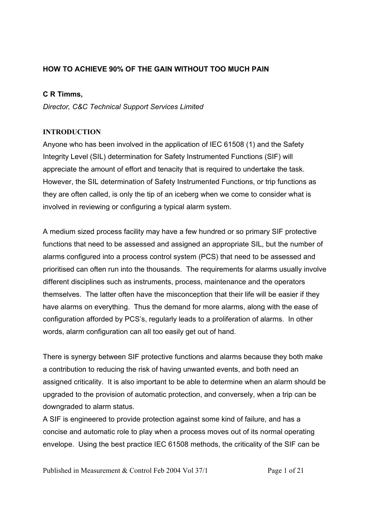# **HOW TO ACHIEVE 90% OF THE GAIN WITHOUT TOO MUCH PAIN**

## **C R Timms,**

*Director, C&C Technical Support Services Limited* 

## **INTRODUCTION**

Anyone who has been involved in the application of IEC 61508 (1) and the Safety Integrity Level (SIL) determination for Safety Instrumented Functions (SIF) will appreciate the amount of effort and tenacity that is required to undertake the task. However, the SIL determination of Safety Instrumented Functions, or trip functions as they are often called, is only the tip of an iceberg when we come to consider what is involved in reviewing or configuring a typical alarm system.

A medium sized process facility may have a few hundred or so primary SIF protective functions that need to be assessed and assigned an appropriate SIL, but the number of alarms configured into a process control system (PCS) that need to be assessed and prioritised can often run into the thousands. The requirements for alarms usually involve different disciplines such as instruments, process, maintenance and the operators themselves. The latter often have the misconception that their life will be easier if they have alarms on everything. Thus the demand for more alarms, along with the ease of configuration afforded by PCS's, regularly leads to a proliferation of alarms. In other words, alarm configuration can all too easily get out of hand.

There is synergy between SIF protective functions and alarms because they both make a contribution to reducing the risk of having unwanted events, and both need an assigned criticality. It is also important to be able to determine when an alarm should be upgraded to the provision of automatic protection, and conversely, when a trip can be downgraded to alarm status.

A SIF is engineered to provide protection against some kind of failure, and has a concise and automatic role to play when a process moves out of its normal operating envelope. Using the best practice IEC 61508 methods, the criticality of the SIF can be

Published in Measurement & Control Feb 2004 Vol 37/1 Page 1 of 21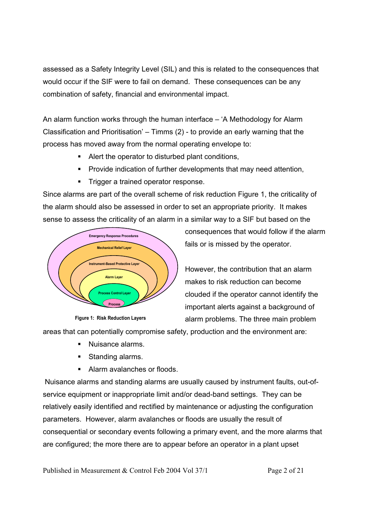assessed as a Safety Integrity Level (SIL) and this is related to the consequences that would occur if the SIF were to fail on demand. These consequences can be any combination of safety, financial and environmental impact.

An alarm function works through the human interface – 'A Methodology for Alarm Classification and Prioritisation' – Timms (2) - to provide an early warning that the process has moved away from the normal operating envelope to:

- Alert the operator to disturbed plant conditions,
- **Provide indication of further developments that may need attention,**
- **Trigger a trained operator response.**

Since alarms are part of the overall scheme of risk reduction Figure 1, the criticality of the alarm should also be assessed in order to set an appropriate priority. It makes sense to assess the criticality of an alarm in a similar way to a SIF but based on the





consequences that would follow if the alarm fails or is missed by the operator.

However, the contribution that an alarm makes to risk reduction can become clouded if the operator cannot identify the important alerts against a background of alarm problems. The three main problem

areas that can potentially compromise safety, production and the environment are:

- Nuisance alarms.
- Standing alarms.
- Alarm avalanches or floods.

 Nuisance alarms and standing alarms are usually caused by instrument faults, out-ofservice equipment or inappropriate limit and/or dead-band settings. They can be relatively easily identified and rectified by maintenance or adjusting the configuration parameters. However, alarm avalanches or floods are usually the result of consequential or secondary events following a primary event, and the more alarms that are configured; the more there are to appear before an operator in a plant upset

Published in Measurement & Control Feb 2004 Vol 37/1 Page 2 of 21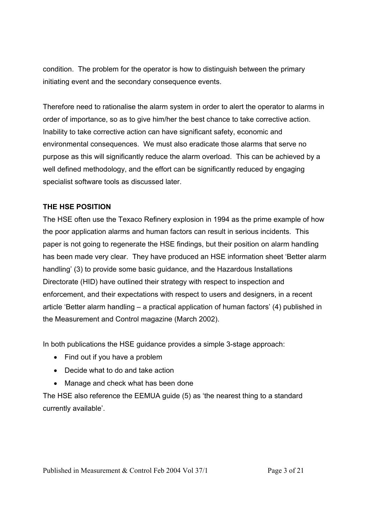condition. The problem for the operator is how to distinguish between the primary initiating event and the secondary consequence events.

Therefore need to rationalise the alarm system in order to alert the operator to alarms in order of importance, so as to give him/her the best chance to take corrective action. Inability to take corrective action can have significant safety, economic and environmental consequences. We must also eradicate those alarms that serve no purpose as this will significantly reduce the alarm overload. This can be achieved by a well defined methodology, and the effort can be significantly reduced by engaging specialist software tools as discussed later.

## **THE HSE POSITION**

The HSE often use the Texaco Refinery explosion in 1994 as the prime example of how the poor application alarms and human factors can result in serious incidents. This paper is not going to regenerate the HSE findings, but their position on alarm handling has been made very clear. They have produced an HSE information sheet 'Better alarm handling' (3) to provide some basic guidance, and the Hazardous Installations Directorate (HID) have outlined their strategy with respect to inspection and enforcement, and their expectations with respect to users and designers, in a recent article 'Better alarm handling – a practical application of human factors' (4) published in the Measurement and Control magazine (March 2002).

In both publications the HSE guidance provides a simple 3-stage approach:

- Find out if you have a problem
- Decide what to do and take action
- Manage and check what has been done

The HSE also reference the EEMUA guide (5) as 'the nearest thing to a standard currently available'.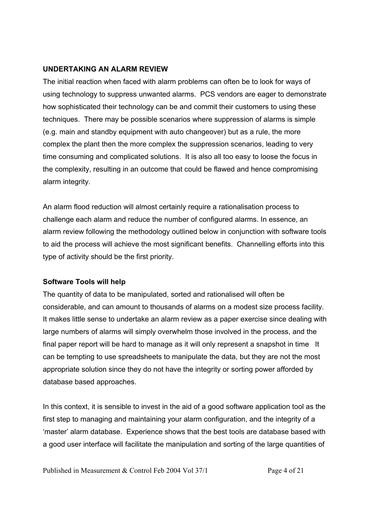### **UNDERTAKING AN ALARM REVIEW**

The initial reaction when faced with alarm problems can often be to look for ways of using technology to suppress unwanted alarms. PCS vendors are eager to demonstrate how sophisticated their technology can be and commit their customers to using these techniques. There may be possible scenarios where suppression of alarms is simple (e.g. main and standby equipment with auto changeover) but as a rule, the more complex the plant then the more complex the suppression scenarios, leading to very time consuming and complicated solutions. It is also all too easy to loose the focus in the complexity, resulting in an outcome that could be flawed and hence compromising alarm integrity.

An alarm flood reduction will almost certainly require a rationalisation process to challenge each alarm and reduce the number of configured alarms. In essence, an alarm review following the methodology outlined below in conjunction with software tools to aid the process will achieve the most significant benefits. Channelling efforts into this type of activity should be the first priority.

# **Software Tools will help**

The quantity of data to be manipulated, sorted and rationalised will often be considerable, and can amount to thousands of alarms on a modest size process facility. It makes little sense to undertake an alarm review as a paper exercise since dealing with large numbers of alarms will simply overwhelm those involved in the process, and the final paper report will be hard to manage as it will only represent a snapshot in time It can be tempting to use spreadsheets to manipulate the data, but they are not the most appropriate solution since they do not have the integrity or sorting power afforded by database based approaches.

In this context, it is sensible to invest in the aid of a good software application tool as the first step to managing and maintaining your alarm configuration, and the integrity of a 'master' alarm database. Experience shows that the best tools are database based with a good user interface will facilitate the manipulation and sorting of the large quantities of

Published in Measurement & Control Feb 2004 Vol 37/1 Page 4 of 21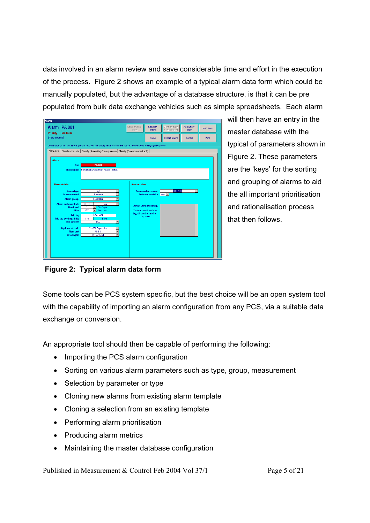data involved in an alarm review and save considerable time and effort in the execution of the process. Figure 2 shows an example of a typical alarm data form which could be manually populated, but the advantage of a database structure, is that it can be pre populated from bulk data exchange vehicles such as simple spreadsheets. Each alarm

| Alarm PA 001                                                                                                              |                                                                                                     | Select another             | Selection                    | Clone an alarm  | Add a new            | Main menu |
|---------------------------------------------------------------------------------------------------------------------------|-----------------------------------------------------------------------------------------------------|----------------------------|------------------------------|-----------------|----------------------|-----------|
| Priority<br><b>Medium</b>                                                                                                 |                                                                                                     | alarm                      | criteria                     | from this alarm | alarm                |           |
| (New record)                                                                                                              |                                                                                                     |                            | Clone                        | Recent alarms   | Cancel               | Print     |
| Double click on text boxes to expand if required, mandatory fields which have not yet been entered are highlighted yellow |                                                                                                     |                            |                              |                 |                      |           |
|                                                                                                                           | Alarm data   Classification data   Classify (Summating Consequences)   Classify (Consequence Graph) |                            |                              |                 |                      |           |
| <b>Alarm</b>                                                                                                              |                                                                                                     |                            |                              |                 |                      |           |
| Tag                                                                                                                       | PA 001                                                                                              |                            |                              |                 |                      |           |
| <b>Description</b>                                                                                                        | High pressure alarm in vessel V1001.                                                                |                            |                              |                 |                      |           |
|                                                                                                                           |                                                                                                     |                            |                              |                 |                      |           |
|                                                                                                                           |                                                                                                     |                            |                              |                 |                      |           |
| <b>Alarm details</b>                                                                                                      |                                                                                                     | <b>Annunciation</b>        |                              |                 |                      |           |
| <b>Alarm type</b>                                                                                                         | High                                                                                                |                            | <b>Annunciation device</b>   | <b>CCR PCS</b>  | $\blacktriangledown$ |           |
| <b>Measurement</b><br>Alarm group                                                                                         | Pressure<br>$\blacktriangledown$<br>Separation                                                      |                            | <b>Main annunciator</b>      | $Yes -$         |                      |           |
| <b>Alarm setting / Units</b>                                                                                              | 100.00<br>Barg<br>$\blacktriangledown$                                                              |                            |                              |                 |                      |           |
| <b>Deadband</b>                                                                                                           | % of span<br>1<br>٠                                                                                 |                            | <b>Associated alarm tags</b> |                 |                      |           |
| <b>Filter</b>                                                                                                             | $\overline{0.2}$<br>Seconds<br>$\overline{\phantom{a}}$                                             | tag, click on the required | To view or edit a related    |                 |                      |           |
| <b>Trip tag</b><br><b>Trip tag setting / Units</b>                                                                        | PZA 1001<br>110<br>Barg                                                                             |                            | tag name                     |                 |                      |           |
| <b>Trip system</b>                                                                                                        | <b>ESD</b>                                                                                          |                            |                              |                 |                      |           |
| <b>Equipment code</b>                                                                                                     | S-1001 Separation                                                                                   |                            |                              |                 |                      |           |
| <b>Plant unit</b><br>Drawing(s)                                                                                           | Unit 1<br>A-12345-R1                                                                                |                            |                              |                 |                      |           |
|                                                                                                                           |                                                                                                     |                            |                              |                 |                      |           |
|                                                                                                                           |                                                                                                     |                            |                              |                 |                      |           |
|                                                                                                                           |                                                                                                     |                            |                              |                 |                      |           |
|                                                                                                                           |                                                                                                     |                            |                              |                 |                      |           |

will then have an entry in the master database with the typical of parameters shown in Figure 2. These parameters are the 'keys' for the sorting and grouping of alarms to aid the all important prioritisation and rationalisation process that then follows.

 **Figure 2: Typical alarm data form**

Some tools can be PCS system specific, but the best choice will be an open system tool with the capability of importing an alarm configuration from any PCS, via a suitable data exchange or conversion.

An appropriate tool should then be capable of performing the following:

- Importing the PCS alarm configuration
- Sorting on various alarm parameters such as type, group, measurement
- Selection by parameter or type
- Cloning new alarms from existing alarm template
- Cloning a selection from an existing template
- Performing alarm prioritisation
- Producing alarm metrics
- Maintaining the master database configuration

Published in Measurement & Control Feb 2004 Vol 37/1 Page 5 of 21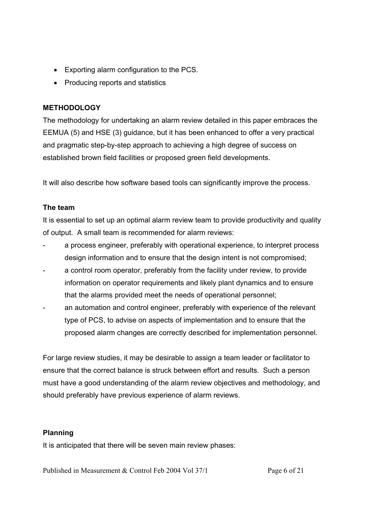- Exporting alarm configuration to the PCS.
- Producing reports and statistics

# **METHODOLOGY**

The methodology for undertaking an alarm review detailed in this paper embraces the EEMUA (5) and HSE (3) guidance, but it has been enhanced to offer a very practical and pragmatic step-by-step approach to achieving a high degree of success on established brown field facilities or proposed green field developments.

It will also describe how software based tools can significantly improve the process.

# **The team**

It is essential to set up an optimal alarm review team to provide productivity and quality of output. A small team is recommended for alarm reviews:

- a process engineer, preferably with operational experience, to interpret process design information and to ensure that the design intent is not compromised;
- a control room operator, preferably from the facility under review, to provide information on operator requirements and likely plant dynamics and to ensure that the alarms provided meet the needs of operational personnel;
- an automation and control engineer, preferably with experience of the relevant type of PCS, to advise on aspects of implementation and to ensure that the proposed alarm changes are correctly described for implementation personnel.

For large review studies, it may be desirable to assign a team leader or facilitator to ensure that the correct balance is struck between effort and results. Such a person must have a good understanding of the alarm review objectives and methodology, and should preferably have previous experience of alarm reviews.

# **Planning**

It is anticipated that there will be seven main review phases:

Published in Measurement & Control Feb 2004 Vol 37/1 Page 6 of 21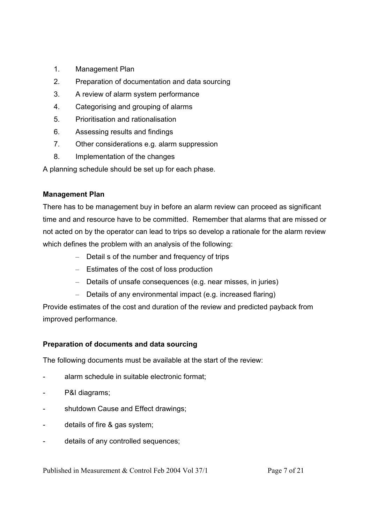- 1. Management Plan
- 2. Preparation of documentation and data sourcing
- 3. A review of alarm system performance
- 4. Categorising and grouping of alarms
- 5. Prioritisation and rationalisation
- 6. Assessing results and findings
- 7. Other considerations e.g. alarm suppression
- 8. Implementation of the changes

A planning schedule should be set up for each phase.

# **Management Plan**

There has to be management buy in before an alarm review can proceed as significant time and and resource have to be committed. Remember that alarms that are missed or not acted on by the operator can lead to trips so develop a rationale for the alarm review which defines the problem with an analysis of the following:

- Detail s of the number and frequency of trips
- Estimates of the cost of loss production
- Details of unsafe consequences (e.g. near misses, in juries)
- Details of any environmental impact (e.g. increased flaring)

Provide estimates of the cost and duration of the review and predicted payback from improved performance.

# **Preparation of documents and data sourcing**

The following documents must be available at the start of the review:

- alarm schedule in suitable electronic format;
- P&I diagrams;
- shutdown Cause and Effect drawings;
- details of fire & gas system;
- details of any controlled sequences;

Published in Measurement & Control Feb 2004 Vol 37/1 Page 7 of 21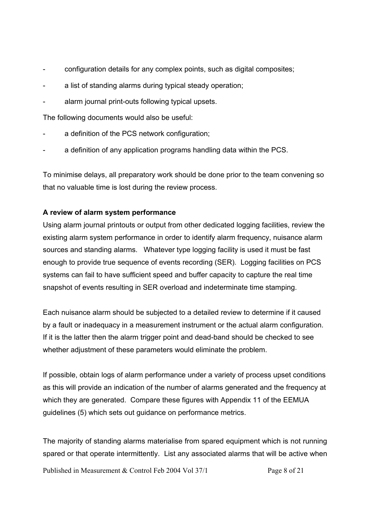- configuration details for any complex points, such as digital composites;
- a list of standing alarms during typical steady operation;
- alarm journal print-outs following typical upsets.

The following documents would also be useful:

- a definition of the PCS network configuration;
- a definition of any application programs handling data within the PCS.

To minimise delays, all preparatory work should be done prior to the team convening so that no valuable time is lost during the review process.

## **A review of alarm system performance**

Using alarm journal printouts or output from other dedicated logging facilities, review the existing alarm system performance in order to identify alarm frequency, nuisance alarm sources and standing alarms. Whatever type logging facility is used it must be fast enough to provide true sequence of events recording (SER). Logging facilities on PCS systems can fail to have sufficient speed and buffer capacity to capture the real time snapshot of events resulting in SER overload and indeterminate time stamping.

Each nuisance alarm should be subjected to a detailed review to determine if it caused by a fault or inadequacy in a measurement instrument or the actual alarm configuration. If it is the latter then the alarm trigger point and dead-band should be checked to see whether adjustment of these parameters would eliminate the problem.

If possible, obtain logs of alarm performance under a variety of process upset conditions as this will provide an indication of the number of alarms generated and the frequency at which they are generated. Compare these figures with Appendix 11 of the EEMUA guidelines (5) which sets out guidance on performance metrics.

The majority of standing alarms materialise from spared equipment which is not running spared or that operate intermittently. List any associated alarms that will be active when

Published in Measurement & Control Feb 2004 Vol 37/1 Page 8 of 21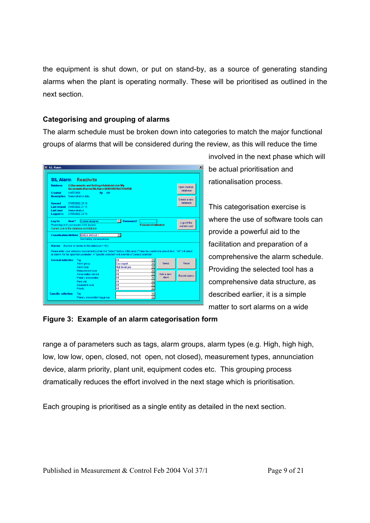the equipment is shut down, or put on stand-by, as a source of generating standing alarms when the plant is operating normally. These will be prioritised as outlined in the next section.

## **Categorising and grouping of alarms**

The alarm schedule must be broken down into categories to match the major functional groups of alarms that will be considered during the review, as this will reduce the time

|                                               |            | <b>SIL Alarm</b> Read/write                                                                                                           |        |                      |                |                           |                                       |                          |
|-----------------------------------------------|------------|---------------------------------------------------------------------------------------------------------------------------------------|--------|----------------------|----------------|---------------------------|---------------------------------------|--------------------------|
|                                               |            |                                                                                                                                       |        |                      |                |                           |                                       |                          |
| <b>Database</b>                               |            | <b>C:\Documents and Settings\Administrator\My</b><br>Documents\Alarms\SILAlarm\DEMONSTRATION.MDB                                      |        |                      |                |                           |                                       | Open another             |
| <b>Created</b>                                | 14/07/2001 |                                                                                                                                       | By AIM |                      |                |                           |                                       | database                 |
| <b>Description</b>                            |            | Demonstration data                                                                                                                    |        |                      |                |                           |                                       |                          |
|                                               |            |                                                                                                                                       |        |                      |                |                           |                                       | Create a new<br>database |
| <b>Opened</b><br>Last closed 01/05/2002 21:15 |            | 07/05/2002 23:19                                                                                                                      |        |                      |                |                           |                                       |                          |
| Last user                                     |            | Demonstration                                                                                                                         |        |                      |                |                           |                                       |                          |
| <b>Logged</b> in                              |            | 07/05/2002 23:19                                                                                                                      |        |                      |                |                           |                                       |                          |
| Log On                                        | User?      | System designer                                                                                                                       |        |                      |                |                           |                                       |                          |
|                                               |            |                                                                                                                                       |        |                      |                |                           |                                       |                          |
|                                               |            | Please log on if you require write access                                                                                             |        | $\mathbf{v}$         | Password?      | <b>Password validated</b> |                                       | Log-off the              |
|                                               |            | Current user is the database administrator                                                                                            |        |                      |                |                           |                                       | current user             |
|                                               |            |                                                                                                                                       |        |                      |                |                           |                                       |                          |
|                                               |            | <b>Classification Method EEMUA Method 1</b>                                                                                           |        | $\blacktriangledown$ |                |                           |                                       |                          |
|                                               |            | <b>Summating Consequences</b>                                                                                                         |        |                      |                |                           |                                       |                          |
| <b>Alarms</b>                                 |            | (Number of alarms in this database = $16$ )                                                                                           |        |                      |                |                           |                                       |                          |
|                                               |            | Please enter your selection requirement(s) then the "Select" button. Wild cards (*) may be used in the search text. "All" will select |        |                      |                |                           |                                       |                          |
|                                               |            | all alarms for the specified parameter. A 'Specific selection' will override a 'General selection'.                                   |        |                      |                |                           |                                       |                          |
| <b>General selection</b>                      |            | Taq                                                                                                                                   |        | All                  |                |                           |                                       |                          |
|                                               |            | Alarm group                                                                                                                           |        | Gas export           |                |                           | Select<br>۰                           | <b>Reset</b>             |
|                                               |            | Alarm type                                                                                                                            |        |                      | High level gas |                           | $\overline{\phantom{0}}$              |                          |
|                                               |            | Measurement type<br>Annunciation device                                                                                               |        | Αl<br>ΑI             |                |                           | Add a new<br>$\overline{\phantom{a}}$ |                          |
|                                               |            | Primary annunciator                                                                                                                   |        | ΑI                   |                |                           | alarm<br>٠                            | <b>Recent alarms</b>     |
|                                               |            | Plant unit                                                                                                                            |        | All                  |                |                           | $\overline{\phantom{a}}$              |                          |
|                                               |            | Equipment code<br>Priority                                                                                                            |        | ΑI<br>ΑI             |                |                           | ٠<br>٠                                |                          |

involved in the next phase which will be actual prioritisation and rationalisation process.

This categorisation exercise is where the use of software tools can provide a powerful aid to the facilitation and preparation of a comprehensive the alarm schedule. Providing the selected tool has a comprehensive data structure, as described earlier, it is a simple matter to sort alarms on a wide

### **Figure 3: Example of an alarm categorisation form**

range a of parameters such as tags, alarm groups, alarm types (e.g. High, high high, low, low low, open, closed, not open, not closed), measurement types, annunciation device, alarm priority, plant unit, equipment codes etc. This grouping process dramatically reduces the effort involved in the next stage which is prioritisation.

Each grouping is prioritised as a single entity as detailed in the next section.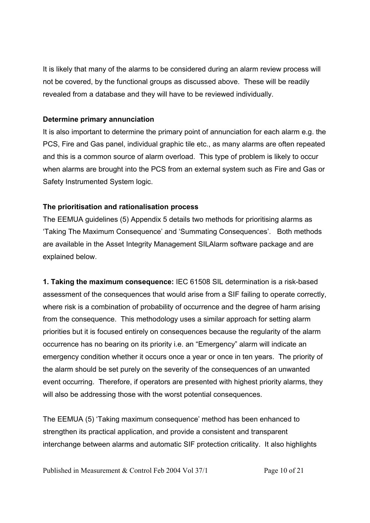It is likely that many of the alarms to be considered during an alarm review process will not be covered, by the functional groups as discussed above. These will be readily revealed from a database and they will have to be reviewed individually.

#### **Determine primary annunciation**

It is also important to determine the primary point of annunciation for each alarm e.g. the PCS, Fire and Gas panel, individual graphic tile etc., as many alarms are often repeated and this is a common source of alarm overload. This type of problem is likely to occur when alarms are brought into the PCS from an external system such as Fire and Gas or Safety Instrumented System logic.

### **The prioritisation and rationalisation process**

The EEMUA guidelines (5) Appendix 5 details two methods for prioritising alarms as 'Taking The Maximum Consequence' and 'Summating Consequences'. Both methods are available in the Asset Integrity Management SILAlarm software package and are explained below.

**1. Taking the maximum consequence:** IEC 61508 SIL determination is a risk-based assessment of the consequences that would arise from a SIF failing to operate correctly, where risk is a combination of probability of occurrence and the degree of harm arising from the consequence. This methodology uses a similar approach for setting alarm priorities but it is focused entirely on consequences because the regularity of the alarm occurrence has no bearing on its priority i.e. an "Emergency" alarm will indicate an emergency condition whether it occurs once a year or once in ten years. The priority of the alarm should be set purely on the severity of the consequences of an unwanted event occurring. Therefore, if operators are presented with highest priority alarms, they will also be addressing those with the worst potential consequences.

The EEMUA (5) 'Taking maximum consequence' method has been enhanced to strengthen its practical application, and provide a consistent and transparent interchange between alarms and automatic SIF protection criticality. It also highlights

Published in Measurement & Control Feb 2004 Vol 37/1 Page 10 of 21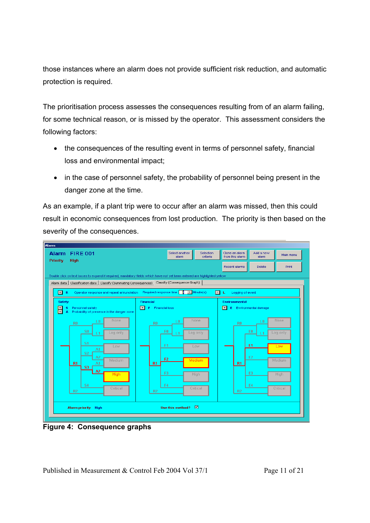those instances where an alarm does not provide sufficient risk reduction, and automatic protection is required.

The prioritisation process assesses the consequences resulting from of an alarm failing, for some technical reason, or is missed by the operator. This assessment considers the following factors:

- the consequences of the resulting event in terms of personnel safety, financial loss and environmental impact;
- in the case of personnel safety, the probability of personnel being present in the danger zone at the time.

As an example, if a plant trip were to occur after an alarm was missed, then this could result in economic consequences from lost production. The priority is then based on the severity of the consequences.



**Figure 4: Consequence graphs** 

Published in Measurement & Control Feb 2004 Vol 37/1 Page 11 of 21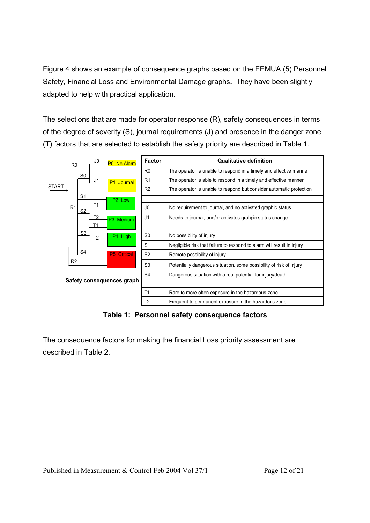Figure 4 shows an example of consequence graphs based on the EEMUA (5) Personnel Safety, Financial Loss and Environmental Damage graphs**.** They have been slightly adapted to help with practical application.

The selections that are made for operator response (R), safety consequences in terms of the degree of severity (S), journal requirements (J) and presence in the danger zone (T) factors that are selected to establish the safety priority are described in Table 1.



**Table 1: Personnel safety consequence factors**

The consequence factors for making the financial Loss priority assessment are described in Table 2.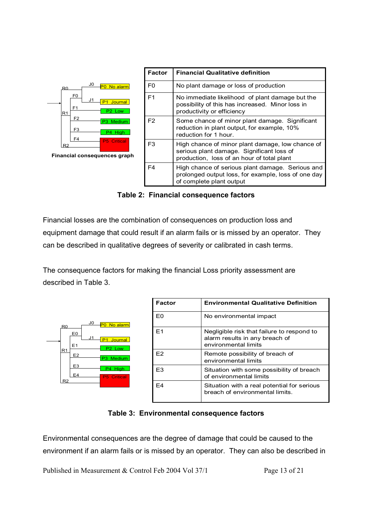

 **Table 2: Financial consequence factors** 

Financial losses are the combination of consequences on production loss and equipment damage that could result if an alarm fails or is missed by an operator. They can be described in qualitative degrees of severity or calibrated in cash terms.

The consequence factors for making the financial Loss priority assessment are described in Table 3.

| R۵ |                | J0 | No alarm<br>PO                                  |
|----|----------------|----|-------------------------------------------------|
|    | E0<br>E1       | J1 | P <sub>1</sub><br>Journal<br>P <sub>2</sub> Low |
| R1 | E <sub>2</sub> |    | Medium<br>P <sub>3</sub>                        |
|    | E3             |    | <b>High</b><br>P <sub>4</sub>                   |
| R2 | E4             |    | <b>P5</b> Critical                              |

| <b>Factor</b>  | <b>Environmental Qualitative Definition</b>                                                          |
|----------------|------------------------------------------------------------------------------------------------------|
| F٥             | No environmental impact                                                                              |
| F <sub>1</sub> | Negligible risk that failure to respond to<br>alarm results in any breach of<br>environmental limits |
| F2             | Remote possibility of breach of<br>environmental limits                                              |
| F3             | Situation with some possibility of breach<br>of environmental limits                                 |
| F4             | Situation with a real potential for serious<br>breach of environmental limits.                       |

# **Table 3: Environmental consequence factors**

Environmental consequences are the degree of damage that could be caused to the environment if an alarm fails or is missed by an operator. They can also be described in

Published in Measurement & Control Feb 2004 Vol 37/1 Page 13 of 21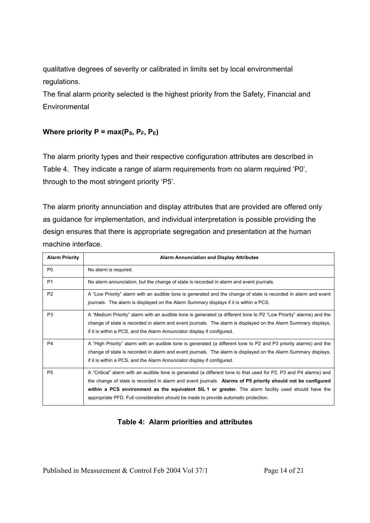qualitative degrees of severity or calibrated in limits set by local environmental regulations.

The final alarm priority selected is the highest priority from the Safety, Financial and **Environmental** 

# **Where priority P = max(** $P_s$ **,**  $P_F$ **,**  $P_E$ **)**

The alarm priority types and their respective configuration attributes are described in Table 4. They indicate a range of alarm requirements from no alarm required 'P0', through to the most stringent priority 'P5'.

The alarm priority annunciation and display attributes that are provided are offered only as guidance for implementation, and individual interpretation is possible providing the design ensures that there is appropriate segregation and presentation at the human machine interface.

| <b>Alarm Priority</b> | <b>Alarm Annunciation and Display Attributes</b>                                                                                                                                                                                                                                                                                                                                                                                |
|-----------------------|---------------------------------------------------------------------------------------------------------------------------------------------------------------------------------------------------------------------------------------------------------------------------------------------------------------------------------------------------------------------------------------------------------------------------------|
| P <sub>0</sub>        | No alarm is required.                                                                                                                                                                                                                                                                                                                                                                                                           |
| P <sub>1</sub>        | No alarm annunciation, but the change of state is recorded in alarm and event journals.                                                                                                                                                                                                                                                                                                                                         |
| P <sub>2</sub>        | A "Low Priority" alarm with an audible tone is generated and the change of state is recorded in alarm and event<br>journals. The alarm is displayed on the Alarm Summary displays if it is within a PCS.                                                                                                                                                                                                                        |
| P <sub>3</sub>        | A "Medium Priority" alarm with an audible tone is generated (a different tone to P2 "Low Priority" alarms) and the<br>change of state is recorded in alarm and event journals. The alarm is displayed on the Alarm Summary displays,<br>if it is within a PCS, and the Alarm Annunciator display if configured.                                                                                                                 |
| P <sub>4</sub>        | A "High Priority" alarm with an audible tone is generated (a different tone to P2 and P3 priority alarms) and the<br>change of state is recorded in alarm and event journals. The alarm is displayed on the Alarm Summary displays,<br>if it is within a PCS, and the Alarm Annunciator display if configured.                                                                                                                  |
| P <sub>5</sub>        | A "Critical" alarm with an audible tone is generated (a different tone to that used for P2, P3 and P4 alarms) and<br>the change of state is recorded in alarm and event journals. Alarms of P5 priority should not be configured<br>within a PCS environment as the equivalent SIL 1 or greater. The alarm facility used should have the<br>appropriate PFD. Full consideration should be made to provide automatic protection. |

# **Table 4: Alarm priorities and attributes**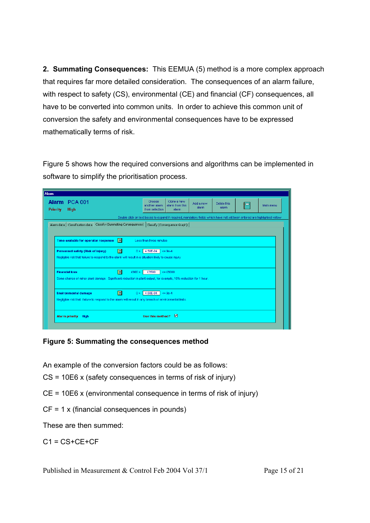**2. Summating Consequences:** This EEMUA (5) method is a more complex approach that requires far more detailed consideration. The consequences of an alarm failure, with respect to safety (CS), environmental (CE) and financial (CF) consequences, all have to be converted into common units. In order to achieve this common unit of conversion the safety and environmental consequences have to be expressed mathematically terms of risk.

Figure 5 shows how the required conversions and algorithms can be implemented in software to simplify the prioritisation process.

| Alarm                            |                                                                                                                  |                                                                                                                           |                                           |                                         |                    |                      |    |           |
|----------------------------------|------------------------------------------------------------------------------------------------------------------|---------------------------------------------------------------------------------------------------------------------------|-------------------------------------------|-----------------------------------------|--------------------|----------------------|----|-----------|
| Alarm PCA 001<br><b>Priority</b> | High                                                                                                             |                                                                                                                           | Choose<br>another alarm<br>from selection | Clone a new<br>alarm from this<br>alarm | Add a new<br>alarm | Delete this<br>alarm | ł⊟ | Main menu |
|                                  |                                                                                                                  | Double click on text boxes to expand if required, mandatory fields which have not yet been entered are highlighted yellow |                                           |                                         |                    |                      |    |           |
|                                  | Alarm data   Classification data   Classify (Summating Consequences)   Classify (Consequence Graph)              |                                                                                                                           |                                           |                                         |                    |                      |    |           |
|                                  |                                                                                                                  |                                                                                                                           |                                           |                                         |                    |                      |    |           |
|                                  | Time available for operator response                                                                             | $\overline{\phantom{a}}$                                                                                                  | Less than three minutes                   |                                         |                    |                      |    |           |
|                                  | Personnel safety (Risk of injury)                                                                                | $\blacksquare$<br>0 >                                                                                                     | 4.50E-04 $\approx$ 9e-4                   |                                         |                    |                      |    |           |
|                                  | Negligible risk that failure to respond to the alarm will result in a situation likely to cause injury           |                                                                                                                           |                                           |                                         |                    |                      |    |           |
|                                  |                                                                                                                  |                                                                                                                           |                                           |                                         |                    |                      |    |           |
| <b>Financial loss</b>            |                                                                                                                  | ы<br>£900 >                                                                                                               | £3500                                     | $\leq$ £6000                            |                    |                      |    |           |
|                                  | Some chance of minor plant damage. Significant reduction in plant output, for example, 10% reduction for 1 hour. |                                                                                                                           |                                           |                                         |                    |                      |    |           |
|                                  |                                                                                                                  |                                                                                                                           |                                           |                                         |                    |                      |    |           |
|                                  | <b>Environmental damage</b>                                                                                      | $\blacksquare$<br>0 >                                                                                                     | $4.50E-04$ $\leq 9e-4$                    |                                         |                    |                      |    |           |
|                                  | Negligible risk that failure to respond to the alarm will result in any breach of environmental limits.          |                                                                                                                           |                                           |                                         |                    |                      |    |           |
|                                  |                                                                                                                  |                                                                                                                           |                                           |                                         |                    |                      |    |           |
| Alarm priority                   | <b>High</b>                                                                                                      |                                                                                                                           | <b>Ilse this method?</b>                  | n                                       |                    |                      |    |           |
|                                  |                                                                                                                  |                                                                                                                           |                                           |                                         |                    |                      |    |           |

# **Figure 5: Summating the consequences method**

An example of the conversion factors could be as follows:

CS = 10E6 x (safety consequences in terms of risk of injury)

CE = 10E6 x (environmental consequence in terms of risk of injury)

CF = 1 x (financial consequences in pounds)

These are then summed:

 $C1 = CS + CE + CF$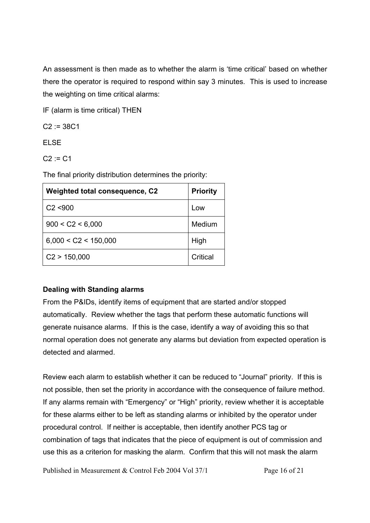An assessment is then made as to whether the alarm is 'time critical' based on whether there the operator is required to respond within say 3 minutes. This is used to increase the weighting on time critical alarms:

IF (alarm is time critical) THEN

 $C2 := 38C1$ 

ELSE

 $C2 := C1$ 

The final priority distribution determines the priority:

| <b>Weighted total consequence, C2</b> | <b>Priority</b> |
|---------------------------------------|-----------------|
| C2 < 900                              | Low             |
| 900 < C2 < 6,000                      | Medium          |
| 6,000 < C2 < 150,000                  | High            |
| C2 > 150,000                          | Critical        |

# **Dealing with Standing alarms**

From the P&IDs, identify items of equipment that are started and/or stopped automatically. Review whether the tags that perform these automatic functions will generate nuisance alarms. If this is the case, identify a way of avoiding this so that normal operation does not generate any alarms but deviation from expected operation is detected and alarmed.

Review each alarm to establish whether it can be reduced to "Journal" priority. If this is not possible, then set the priority in accordance with the consequence of failure method. If any alarms remain with "Emergency" or "High" priority, review whether it is acceptable for these alarms either to be left as standing alarms or inhibited by the operator under procedural control. If neither is acceptable, then identify another PCS tag or combination of tags that indicates that the piece of equipment is out of commission and use this as a criterion for masking the alarm. Confirm that this will not mask the alarm

Published in Measurement & Control Feb 2004 Vol 37/1 Page 16 of 21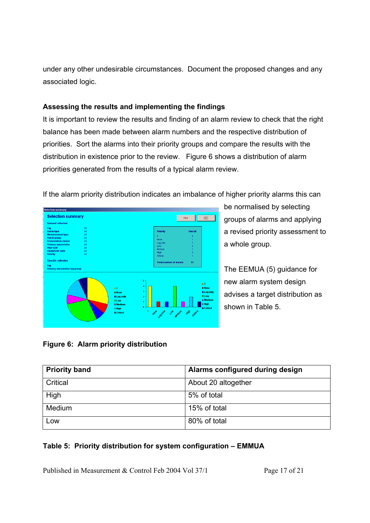under any other undesirable circumstances. Document the proposed changes and any associated logic.

## **Assessing the results and implementing the findings**

It is important to review the results and finding of an alarm review to check that the right balance has been made between alarm numbers and the respective distribution of priorities. Sort the alarms into their priority groups and compare the results with the distribution in existence prior to the review. Figure 6 shows a distribution of alarm priorities generated from the results of a typical alarm review.



If the alarm priority distribution indicates an imbalance of higher priority alarms this can

be normalised by selecting groups of alarms and applying a revised priority assessment to a whole group.

The EEMUA (5) guidance for new alarm system design advises a target distribution as shown in Table 5.

# **Figure 6: Alarm priority distribution**

| <b>Priority band</b> | Alarms configured during design |
|----------------------|---------------------------------|
| Critical             | About 20 altogether             |
| High                 | 5% of total                     |
| Medium               | 15% of total                    |
| Low                  | 80% of total                    |

# **Table 5: Priority distribution for system configuration – EMMUA**

Published in Measurement & Control Feb 2004 Vol 37/1 Page 17 of 21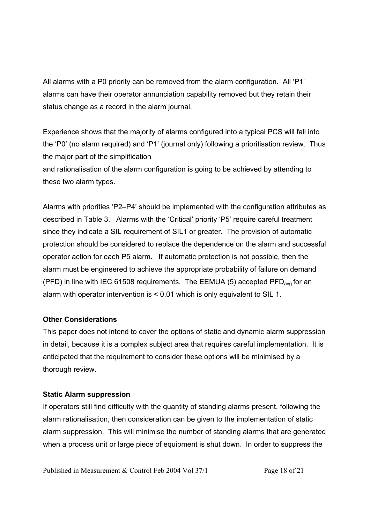All alarms with a P0 priority can be removed from the alarm configuration. All 'P1' alarms can have their operator annunciation capability removed but they retain their status change as a record in the alarm journal.

Experience shows that the majority of alarms configured into a typical PCS will fall into the 'P0' (no alarm required) and 'P1' (journal only) following a prioritisation review. Thus the major part of the simplification and rationalisation of the alarm configuration is going to be achieved by attending to

these two alarm types.

Alarms with priorities 'P2–P4' should be implemented with the configuration attributes as described in Table 3. Alarms with the 'Critical' priority 'P5' require careful treatment since they indicate a SIL requirement of SIL1 or greater. The provision of automatic protection should be considered to replace the dependence on the alarm and successful operator action for each P5 alarm. If automatic protection is not possible, then the alarm must be engineered to achieve the appropriate probability of failure on demand (PFD) in line with IEC 61508 requirements. The EEMUA (5) accepted  $PFD<sub>ava</sub>$  for an alarm with operator intervention is < 0.01 which is only equivalent to SIL 1.

### **Other Considerations**

This paper does not intend to cover the options of static and dynamic alarm suppression in detail, because it is a complex subject area that requires careful implementation. It is anticipated that the requirement to consider these options will be minimised by a thorough review.

# **Static Alarm suppression**

If operators still find difficulty with the quantity of standing alarms present, following the alarm rationalisation, then consideration can be given to the implementation of static alarm suppression. This will minimise the number of standing alarms that are generated when a process unit or large piece of equipment is shut down. In order to suppress the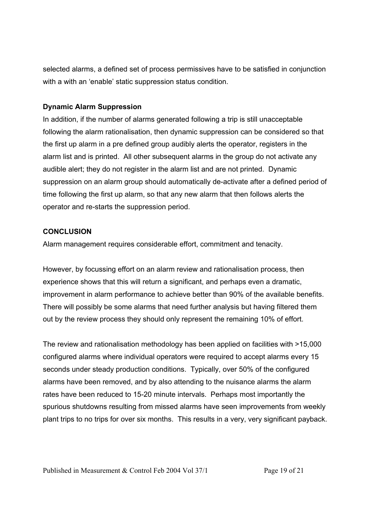selected alarms, a defined set of process permissives have to be satisfied in conjunction with a with an 'enable' static suppression status condition.

### **Dynamic Alarm Suppression**

In addition, if the number of alarms generated following a trip is still unacceptable following the alarm rationalisation, then dynamic suppression can be considered so that the first up alarm in a pre defined group audibly alerts the operator, registers in the alarm list and is printed. All other subsequent alarms in the group do not activate any audible alert; they do not register in the alarm list and are not printed. Dynamic suppression on an alarm group should automatically de-activate after a defined period of time following the first up alarm, so that any new alarm that then follows alerts the operator and re-starts the suppression period.

## **CONCLUSION**

Alarm management requires considerable effort, commitment and tenacity.

However, by focussing effort on an alarm review and rationalisation process, then experience shows that this will return a significant, and perhaps even a dramatic, improvement in alarm performance to achieve better than 90% of the available benefits. There will possibly be some alarms that need further analysis but having filtered them out by the review process they should only represent the remaining 10% of effort.

The review and rationalisation methodology has been applied on facilities with >15,000 configured alarms where individual operators were required to accept alarms every 15 seconds under steady production conditions. Typically, over 50% of the configured alarms have been removed, and by also attending to the nuisance alarms the alarm rates have been reduced to 15-20 minute intervals. Perhaps most importantly the spurious shutdowns resulting from missed alarms have seen improvements from weekly plant trips to no trips for over six months. This results in a very, very significant payback.

Published in Measurement & Control Feb 2004 Vol 37/1 Page 19 of 21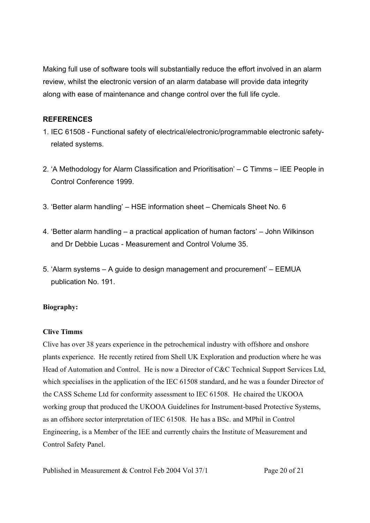Making full use of software tools will substantially reduce the effort involved in an alarm review, whilst the electronic version of an alarm database will provide data integrity along with ease of maintenance and change control over the full life cycle.

### **REFERENCES**

- 1. IEC 61508 Functional safety of electrical/electronic/programmable electronic safetyrelated systems.
- 2. 'A Methodology for Alarm Classification and Prioritisation' C Timms IEE People in Control Conference 1999.
- 3. 'Better alarm handling' HSE information sheet Chemicals Sheet No. 6
- 4. 'Better alarm handling a practical application of human factors' John Wilkinson and Dr Debbie Lucas - Measurement and Control Volume 35.
- 5. 'Alarm systems A guide to design management and procurement' EEMUA publication No. 191.

### **Biography:**

### **Clive Timms**

Clive has over 38 years experience in the petrochemical industry with offshore and onshore plants experience. He recently retired from Shell UK Exploration and production where he was Head of Automation and Control. He is now a Director of C&C Technical Support Services Ltd, which specialises in the application of the IEC 61508 standard, and he was a founder Director of the CASS Scheme Ltd for conformity assessment to IEC 61508. He chaired the UKOOA working group that produced the UKOOA Guidelines for Instrument-based Protective Systems, as an offshore sector interpretation of IEC 61508. He has a BSc. and MPhil in Control Engineering, is a Member of the IEE and currently chairs the Institute of Measurement and Control Safety Panel.

Published in Measurement & Control Feb 2004 Vol 37/1 Page 20 of 21